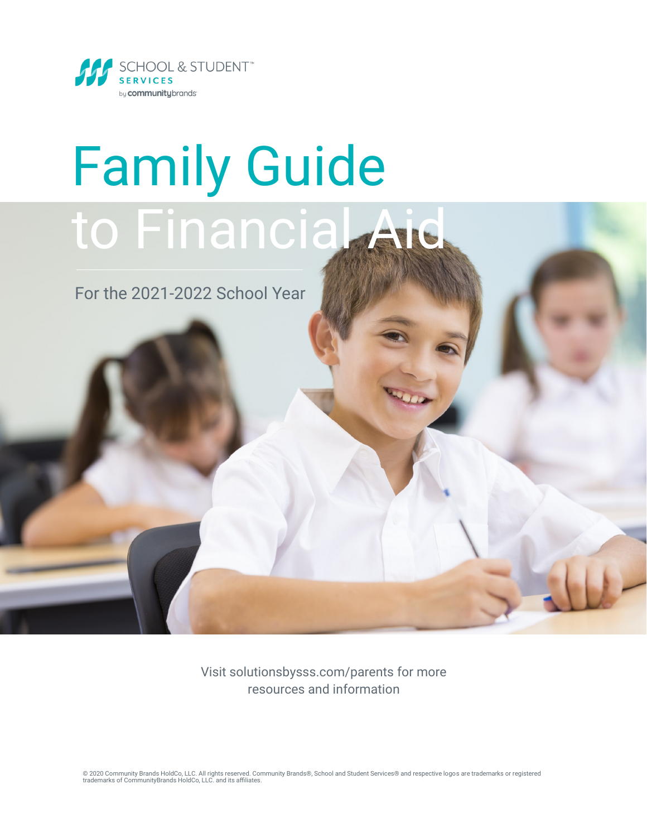

# Family Guide to Financia Aid

For the 2021-2022 School Year

Visit solutionsbysss.com/parents for more resources and information

© 2020 Community Brands HoldCo, LLC. All rights reserved. Community Brands®, School and Student Services® and respective logos are trademarks or registered<br>trademarks of CommunityBrands HoldCo, LLC. and its affiliates.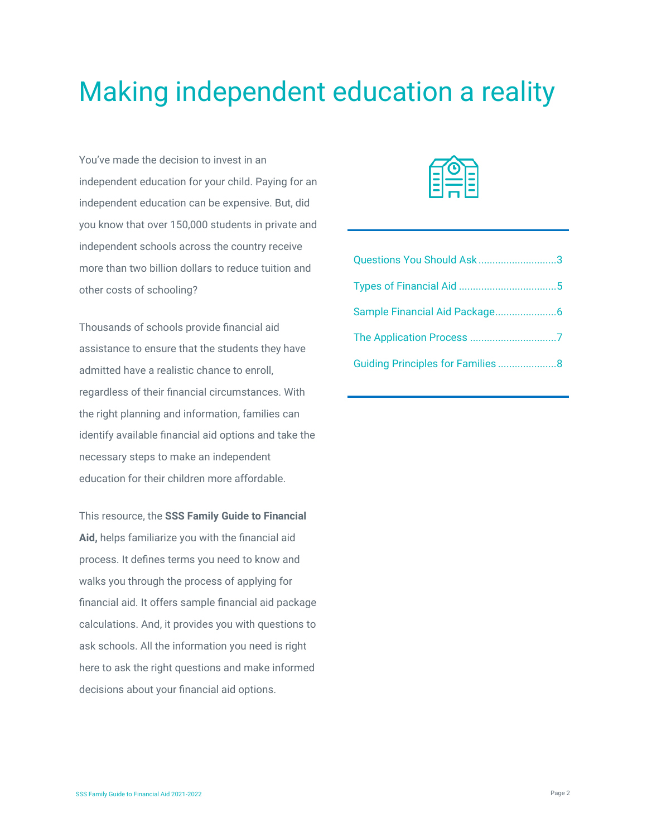### Making independent education a reality

You've made the decision to invest in an independent education for your child. Paying for an independent education can be expensive. But, did you know that over 150,000 students in private and independent schools across the country receive more than two billion dollars to reduce tuition and other costs of schooling?

Thousands of schools provide financial aid assistance to ensure that the students they have admitted have a realistic chance to enroll, regardless of their financial circumstances. With the right planning and information, families can identify available financial aid options and take the necessary steps to make an independent education for their children more affordable.

This resource, the **SSS Family Guide to Financial Aid,** helps familiarize you with the financial aid process. It defines terms you need to know and walks you through the process of applying for financial aid. It offers sample financial aid package calculations. And, it provides you with questions to ask schools. All the information you need is right here to ask the right questions and make informed decisions about your financial aid options.



| Questions You Should Ask3        |  |
|----------------------------------|--|
|                                  |  |
|                                  |  |
|                                  |  |
| Guiding Principles for Families8 |  |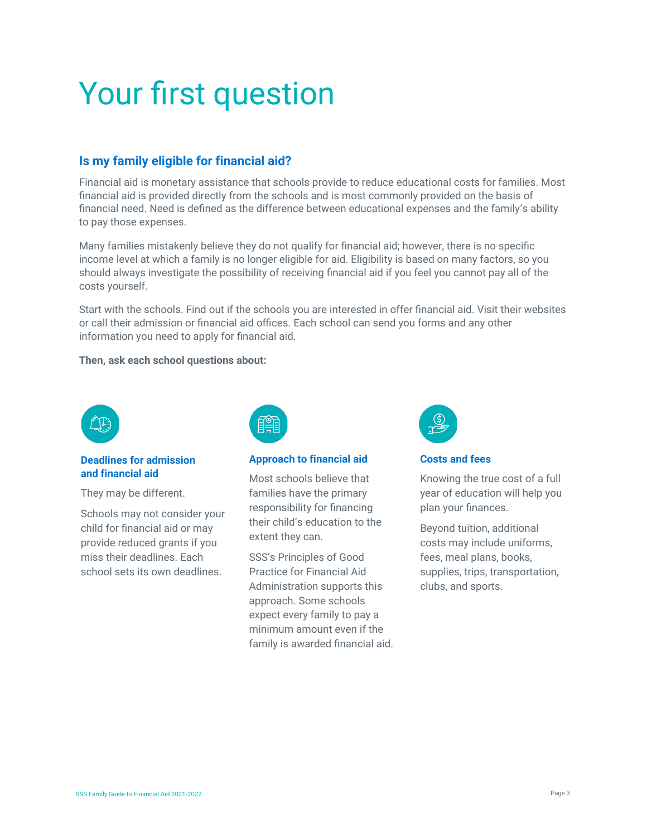## Your first question

#### **Is my family eligible for financial aid?**

Financial aid is monetary assistance that schools provide to reduce educational costs for families. Most financial aid is provided directly from the schools and is most commonly provided on the basis of financial need. Need is defined as the difference between educational expenses and the family's ability to pay those expenses.

Many families mistakenly believe they do not qualify for financial aid; however, there is no specific income level at which a family is no longer eligible for aid. Eligibility is based on many factors, so you should always investigate the possibility of receiving financial aid if you feel you cannot pay all of the costs yourself.

Start with the schools. Find out if the schools you are interested in offer financial aid. Visit their websites or call their admission or financial aid offices. Each school can send you forms and any other information you need to apply for financial aid.

#### **Then, ask each school questions about:**



#### **Deadlines for admission and financial aid**

They may be different.

Schools may not consider your child for financial aid or may provide reduced grants if you miss their deadlines. Each school sets its own deadlines.



#### **Approach to financial aid**

Most schools believe that families have the primary responsibility for financing their child's education to the extent they can.

SSS's Principles of Good Practice for Financial Aid Administration supports this approach. Some schools expect every family to pay a minimum amount even if the family is awarded financial aid.



**Costs and fees**

Knowing the true cost of a full year of education will help you plan your finances.

Beyond tuition, additional costs may include uniforms, fees, meal plans, books, supplies, trips, transportation, clubs, and sports.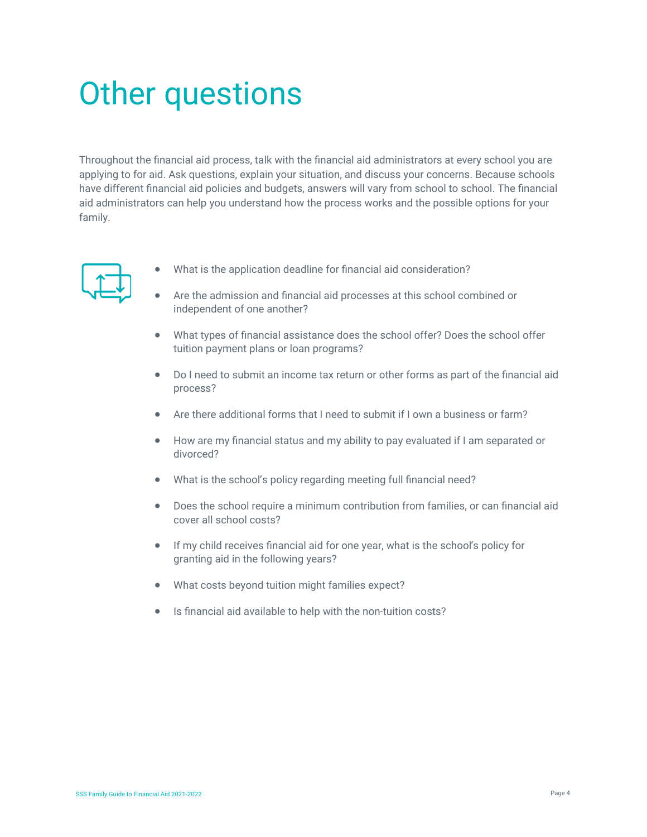### Other questions

Throughout the financial aid process, talk with the financial aid administrators at every school you are applying to for aid. Ask questions, explain your situation, and discuss your concerns. Because schools have different financial aid policies and budgets, answers will vary from school to school. The financial aid administrators can help you understand how the process works and the possible options for your family.



- What is the application deadline for financial aid consideration?
- Are the admission and financial aid processes at this school combined or independent of one another?
- What types of financial assistance does the school offer? Does the school offer tuition payment plans or loan programs?
- Do I need to submit an income tax return or other forms as part of the financial aid process?
- Are there additional forms that I need to submit if I own a business or farm?
- How are my financial status and my ability to pay evaluated if I am separated or divorced?
- What is the school's policy regarding meeting full financial need?
- Does the school require a minimum contribution from families, or can financial aid cover all school costs?
- If my child receives financial aid for one year, what is the school's policy for granting aid in the following years?
- What costs beyond tuition might families expect?
- Is financial aid available to help with the non-tuition costs?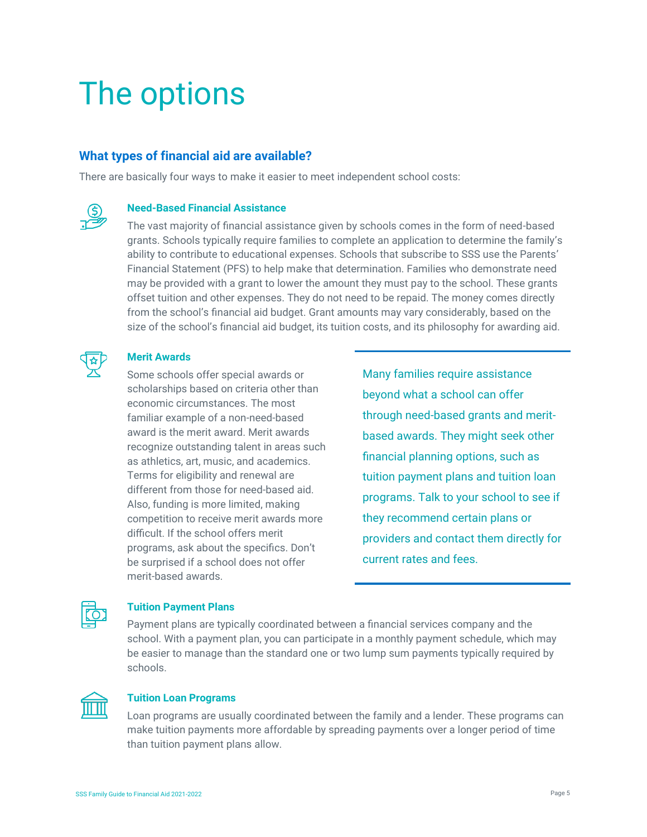### The options

#### **What types of financial aid are available?**

There are basically four ways to make it easier to meet independent school costs:

#### **Need-Based Financial Assistance**

The vast majority of financial assistance given by schools comes in the form of need-based grants. Schools typically require families to complete an application to determine the family's ability to contribute to educational expenses. Schools that subscribe to SSS use the Parents' Financial Statement (PFS) to help make that determination. Families who demonstrate need may be provided with a grant to lower the amount they must pay to the school. These grants offset tuition and other expenses. They do not need to be repaid. The money comes directly from the school's financial aid budget. Grant amounts may vary considerably, based on the size of the school's financial aid budget, its tuition costs, and its philosophy for awarding aid.

#### **Merit Awards**

Some schools offer special awards or scholarships based on criteria other than economic circumstances. The most familiar example of a non-need-based award is the merit award. Merit awards recognize outstanding talent in areas such as athletics, art, music, and academics. Terms for eligibility and renewal are different from those for need-based aid. Also, funding is more limited, making competition to receive merit awards more difficult. If the school offers merit programs, ask about the specifics. Don't be surprised if a school does not offer merit-based awards.

Many families require assistance beyond what a school can offer through need-based grants and meritbased awards. They might seek other financial planning options, such as tuition payment plans and tuition loan programs. Talk to your school to see if they recommend certain plans or providers and contact them directly for current rates and fees.

 $\frac{1}{\sqrt{2}}$ 

#### **Tuition Payment Plans**

Payment plans are typically coordinated between a financial services company and the school. With a payment plan, you can participate in a monthly payment schedule, which may be easier to manage than the standard one or two lump sum payments typically required by schools.



#### **Tuition Loan Programs**

Loan programs are usually coordinated between the family and a lender. These programs can make tuition payments more affordable by spreading payments over a longer period of time than tuition payment plans allow.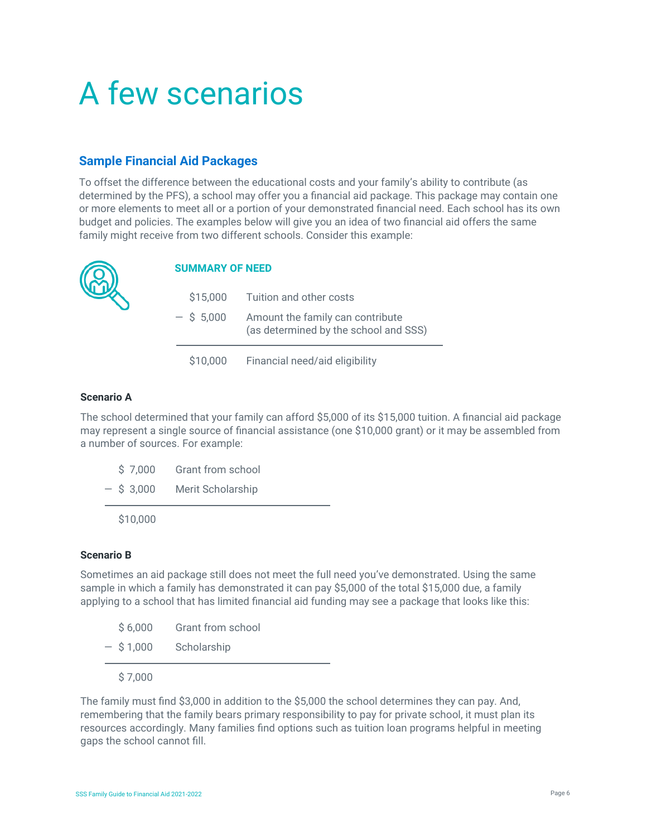### A few scenarios

#### **Sample Financial Aid Packages**

To offset the difference between the educational costs and your family's ability to contribute (as determined by the PFS), a school may offer you a financial aid package. This package may contain one or more elements to meet all or a portion of your demonstrated financial need. Each school has its own budget and policies. The examples below will give you an idea of two financial aid offers the same family might receive from two different schools. Consider this example:



#### **SUMMARY OF NEED**

| \$15,000     | Tuition and other costs                                                   |
|--------------|---------------------------------------------------------------------------|
| $-$ \$ 5,000 | Amount the family can contribute<br>(as determined by the school and SSS) |
| \$10,000     | Financial need/aid eligibility                                            |

#### **Scenario A**

The school determined that your family can afford \$5,000 of its \$15,000 tuition. A financial aid package may represent a single source of financial assistance (one \$10,000 grant) or it may be assembled from a number of sources. For example:

|  | $-$ \$ 3.000 | Merit Scholarship |
|--|--------------|-------------------|
|  | \$7,000      | Grant from school |

\$10,000

#### **Scenario B**

Sometimes an aid package still does not meet the full need you've demonstrated. Using the same sample in which a family has demonstrated it can pay \$5,000 of the total \$15,000 due, a family applying to a school that has limited financial aid funding may see a package that looks like this:

| \$7,000     |                   |
|-------------|-------------------|
| $-$ \$1,000 | Scholarship       |
| \$6,000     | Grant from school |

The family must find \$3,000 in addition to the \$5,000 the school determines they can pay. And, remembering that the family bears primary responsibility to pay for private school, it must plan its resources accordingly. Many families find options such as tuition loan programs helpful in meeting gaps the school cannot fill.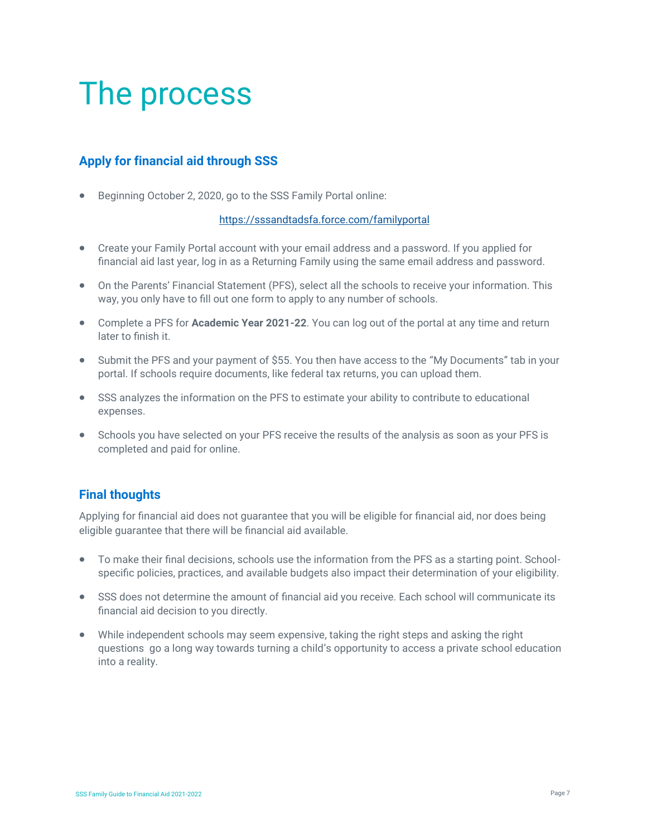### The process

### **Apply for financial aid through SSS**

• Beginning October 2, 2020, go to the SSS Family Portal online:

#### <https://sssandtadsfa.force.com/familyportal>

- Create your Family Portal account with your email address and a password. If you applied for financial aid last year, log in as a Returning Family using the same email address and password.
- On the Parents' Financial Statement (PFS), select all the schools to receive your information. This way, you only have to fill out one form to apply to any number of schools.
- Complete a PFS for **Academic Year 2021-22**. You can log out of the portal at any time and return later to finish it.
- Submit the PFS and your payment of \$55. You then have access to the "My Documents" tab in your portal. If schools require documents, like federal tax returns, you can upload them.
- SSS analyzes the information on the PFS to estimate your ability to contribute to educational expenses.
- Schools you have selected on your PFS receive the results of the analysis as soon as your PFS is completed and paid for online.

#### **Final thoughts**

Applying for financial aid does not guarantee that you will be eligible for financial aid, nor does being eligible guarantee that there will be financial aid available.

- To make their final decisions, schools use the information from the PFS as a starting point. Schoolspecific policies, practices, and available budgets also impact their determination of your eligibility.
- SSS does not determine the amount of financial aid you receive. Each school will communicate its financial aid decision to you directly.
- While independent schools may seem expensive, taking the right steps and asking the right questions go a long way towards turning a child's opportunity to access a private school education into a reality.